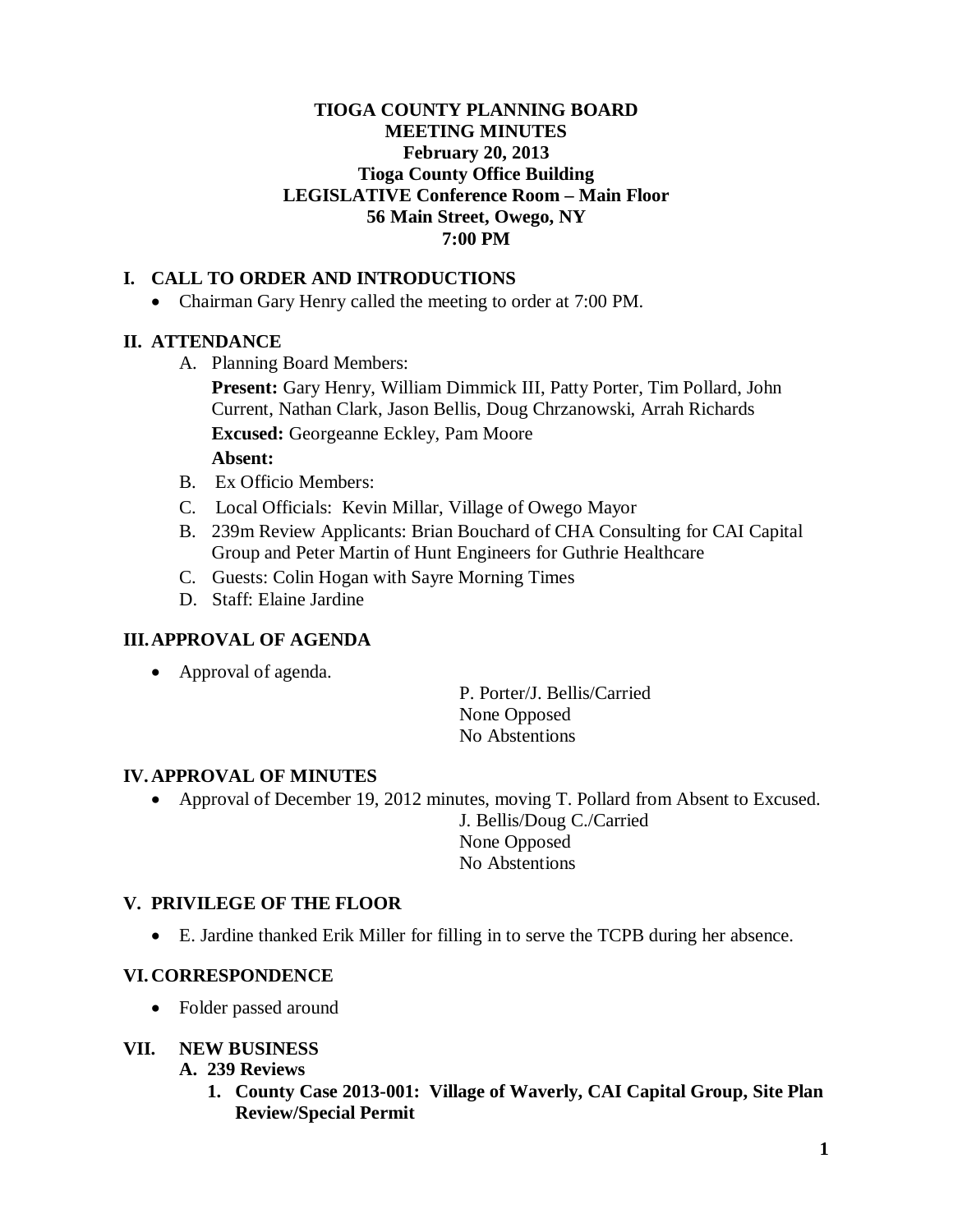### **TIOGA COUNTY PLANNING BOARD MEETING MINUTES February 20, 2013 Tioga County Office Building LEGISLATIVE Conference Room – Main Floor 56 Main Street, Owego, NY 7:00 PM**

# **I. CALL TO ORDER AND INTRODUCTIONS**

• Chairman Gary Henry called the meeting to order at 7:00 PM.

## **II. ATTENDANCE**

A. Planning Board Members:

**Present:** Gary Henry, William Dimmick III, Patty Porter, Tim Pollard, John Current, Nathan Clark, Jason Bellis, Doug Chrzanowski, Arrah Richards **Excused:** Georgeanne Eckley, Pam Moore **Absent:**

- B.Ex Officio Members:
- C. Local Officials: Kevin Millar, Village of Owego Mayor
- B. 239m Review Applicants: Brian Bouchard of CHA Consulting for CAI Capital Group and Peter Martin of Hunt Engineers for Guthrie Healthcare
- C. Guests: Colin Hogan with Sayre Morning Times
- D. Staff: Elaine Jardine

## **III.APPROVAL OF AGENDA**

• Approval of agenda.

P. Porter/J. Bellis/Carried None Opposed No Abstentions

### **IV. APPROVAL OF MINUTES**

• Approval of December 19, 2012 minutes, moving T. Pollard from Absent to Excused.

J. Bellis/Doug C./Carried None Opposed No Abstentions

### **V. PRIVILEGE OF THE FLOOR**

• E. Jardine thanked Erik Miller for filling in to serve the TCPB during her absence.

## **VI. CORRESPONDENCE**

• Folder passed around

### **VII. NEW BUSINESS**

- **A. 239 Reviews**
	- **1. County Case 2013-001: Village of Waverly, CAI Capital Group, Site Plan Review/Special Permit**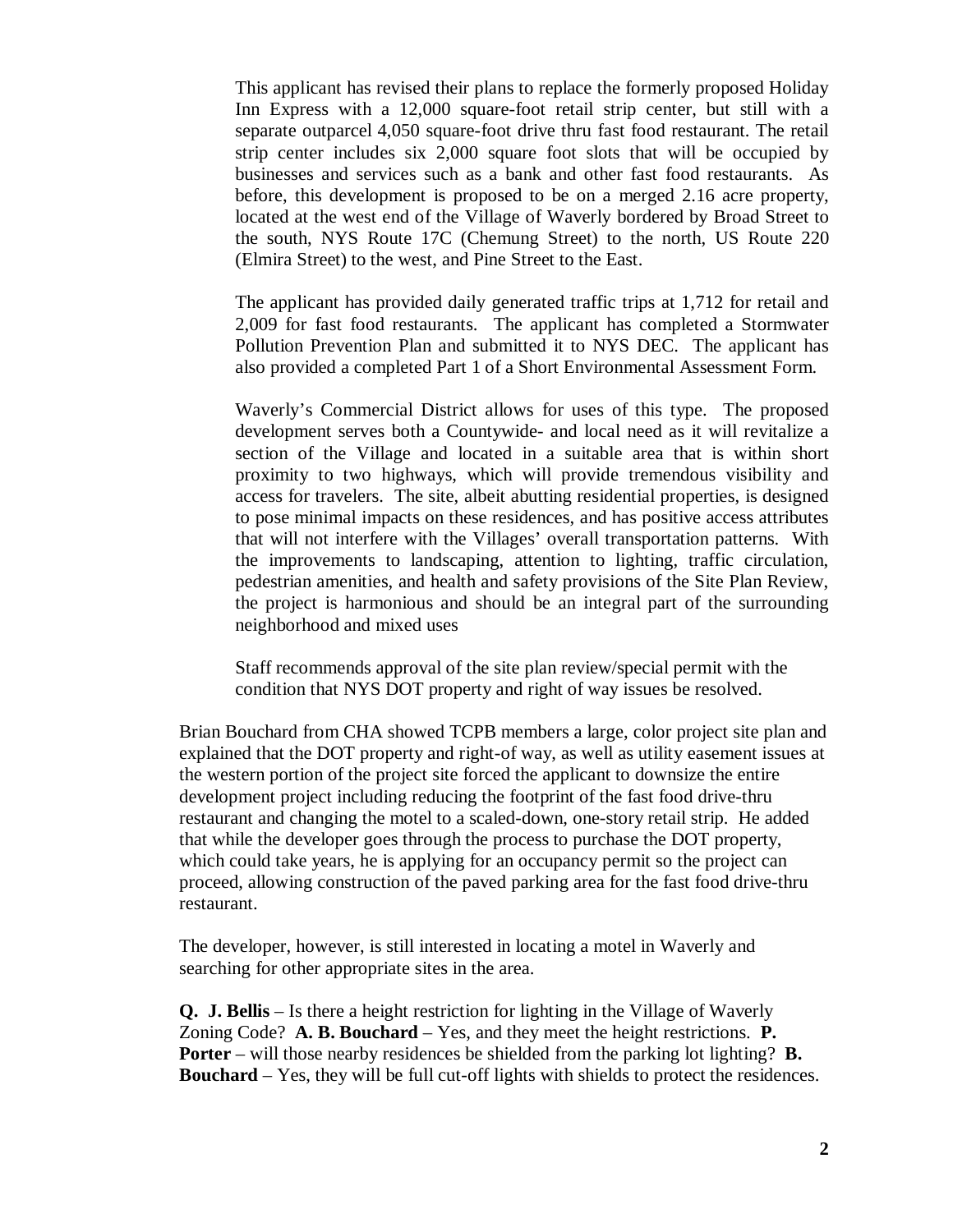This applicant has revised their plans to replace the formerly proposed Holiday Inn Express with a 12,000 square-foot retail strip center, but still with a separate outparcel 4,050 square-foot drive thru fast food restaurant. The retail strip center includes six 2,000 square foot slots that will be occupied by businesses and services such as a bank and other fast food restaurants. As before, this development is proposed to be on a merged 2.16 acre property, located at the west end of the Village of Waverly bordered by Broad Street to the south, NYS Route 17C (Chemung Street) to the north, US Route 220 (Elmira Street) to the west, and Pine Street to the East.

The applicant has provided daily generated traffic trips at 1,712 for retail and 2,009 for fast food restaurants. The applicant has completed a Stormwater Pollution Prevention Plan and submitted it to NYS DEC. The applicant has also provided a completed Part 1 of a Short Environmental Assessment Form.

Waverly's Commercial District allows for uses of this type. The proposed development serves both a Countywide- and local need as it will revitalize a section of the Village and located in a suitable area that is within short proximity to two highways, which will provide tremendous visibility and access for travelers. The site, albeit abutting residential properties, is designed to pose minimal impacts on these residences, and has positive access attributes that will not interfere with the Villages' overall transportation patterns. With the improvements to landscaping, attention to lighting, traffic circulation, pedestrian amenities, and health and safety provisions of the Site Plan Review, the project is harmonious and should be an integral part of the surrounding neighborhood and mixed uses

Staff recommends approval of the site plan review/special permit with the condition that NYS DOT property and right of way issues be resolved.

Brian Bouchard from CHA showed TCPB members a large, color project site plan and explained that the DOT property and right-of way, as well as utility easement issues at the western portion of the project site forced the applicant to downsize the entire development project including reducing the footprint of the fast food drive-thru restaurant and changing the motel to a scaled-down, one-story retail strip. He added that while the developer goes through the process to purchase the DOT property, which could take years, he is applying for an occupancy permit so the project can proceed, allowing construction of the paved parking area for the fast food drive-thru restaurant.

The developer, however, is still interested in locating a motel in Waverly and searching for other appropriate sites in the area.

**Q. J. Bellis** – Is there a height restriction for lighting in the Village of Waverly Zoning Code? **A. B. Bouchard** – Yes, and they meet the height restrictions. **P. Porter** – will those nearby residences be shielded from the parking lot lighting? **B. Bouchard** – Yes, they will be full cut-off lights with shields to protect the residences.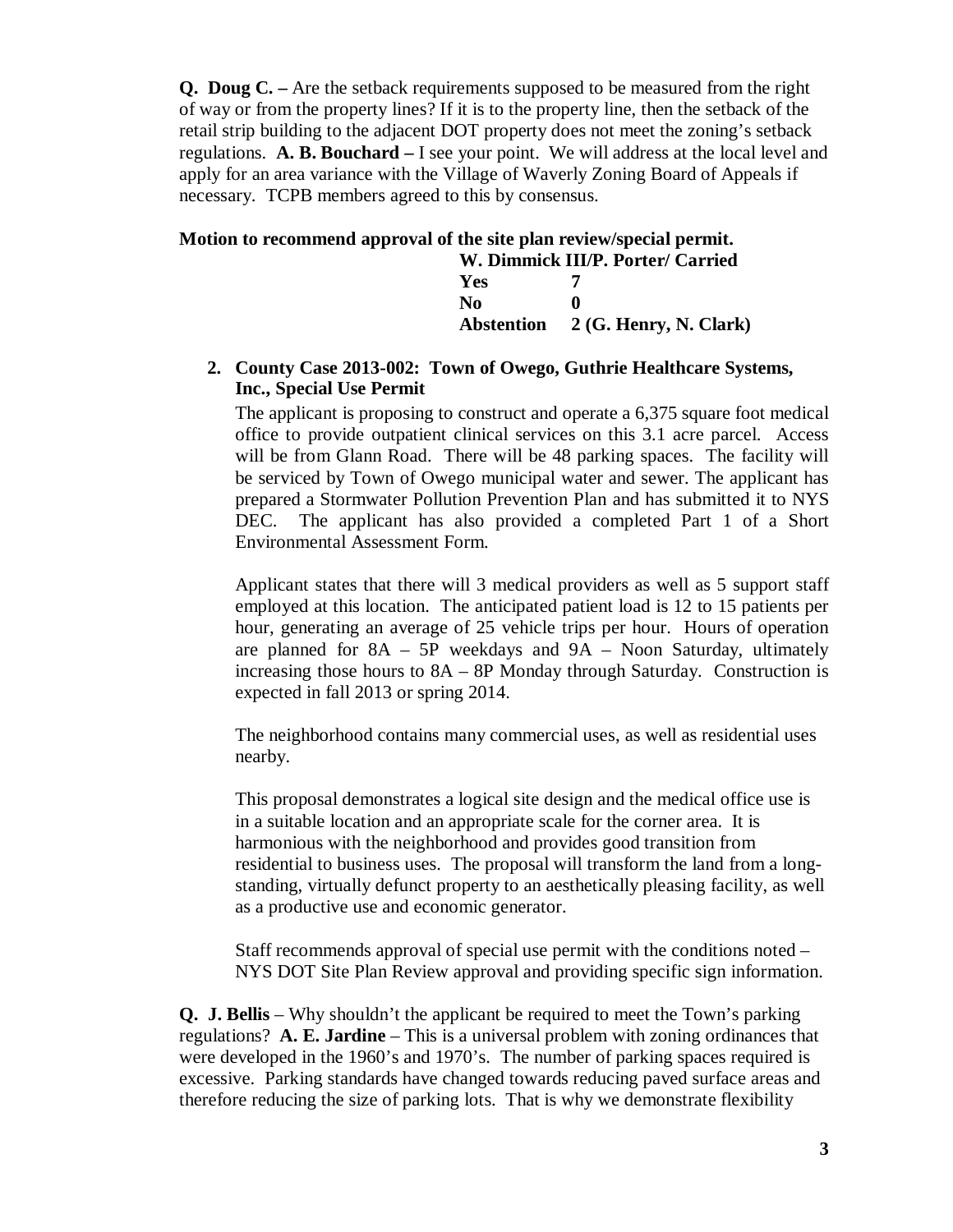**Q. Doug C. –** Are the setback requirements supposed to be measured from the right of way or from the property lines? If it is to the property line, then the setback of the retail strip building to the adjacent DOT property does not meet the zoning's setback regulations. **A. B. Bouchard –** I see your point. We will address at the local level and apply for an area variance with the Village of Waverly Zoning Board of Appeals if necessary. TCPB members agreed to this by consensus.

#### **Motion to recommend approval of the site plan review/special permit.**

| W. Dimmick III/P. Porter/ Carried |                                          |
|-----------------------------------|------------------------------------------|
| Yes                               |                                          |
| No.                               | o                                        |
|                                   | <b>Abstention</b> 2 (G. Henry, N. Clark) |

**2. County Case 2013-002: Town of Owego, Guthrie Healthcare Systems, Inc., Special Use Permit**

The applicant is proposing to construct and operate a 6,375 square foot medical office to provide outpatient clinical services on this 3.1 acre parcel. Access will be from Glann Road. There will be 48 parking spaces. The facility will be serviced by Town of Owego municipal water and sewer. The applicant has prepared a Stormwater Pollution Prevention Plan and has submitted it to NYS DEC. The applicant has also provided a completed Part 1 of a Short Environmental Assessment Form.

Applicant states that there will 3 medical providers as well as 5 support staff employed at this location. The anticipated patient load is 12 to 15 patients per hour, generating an average of 25 vehicle trips per hour. Hours of operation are planned for 8A – 5P weekdays and 9A – Noon Saturday, ultimately increasing those hours to 8A – 8P Monday through Saturday. Construction is expected in fall 2013 or spring 2014.

The neighborhood contains many commercial uses, as well as residential uses nearby.

This proposal demonstrates a logical site design and the medical office use is in a suitable location and an appropriate scale for the corner area. It is harmonious with the neighborhood and provides good transition from residential to business uses. The proposal will transform the land from a longstanding, virtually defunct property to an aesthetically pleasing facility, as well as a productive use and economic generator.

Staff recommends approval of special use permit with the conditions noted – NYS DOT Site Plan Review approval and providing specific sign information.

**Q. J. Bellis** – Why shouldn't the applicant be required to meet the Town's parking regulations? **A. E. Jardine** – This is a universal problem with zoning ordinances that were developed in the 1960's and 1970's. The number of parking spaces required is excessive. Parking standards have changed towards reducing paved surface areas and therefore reducing the size of parking lots. That is why we demonstrate flexibility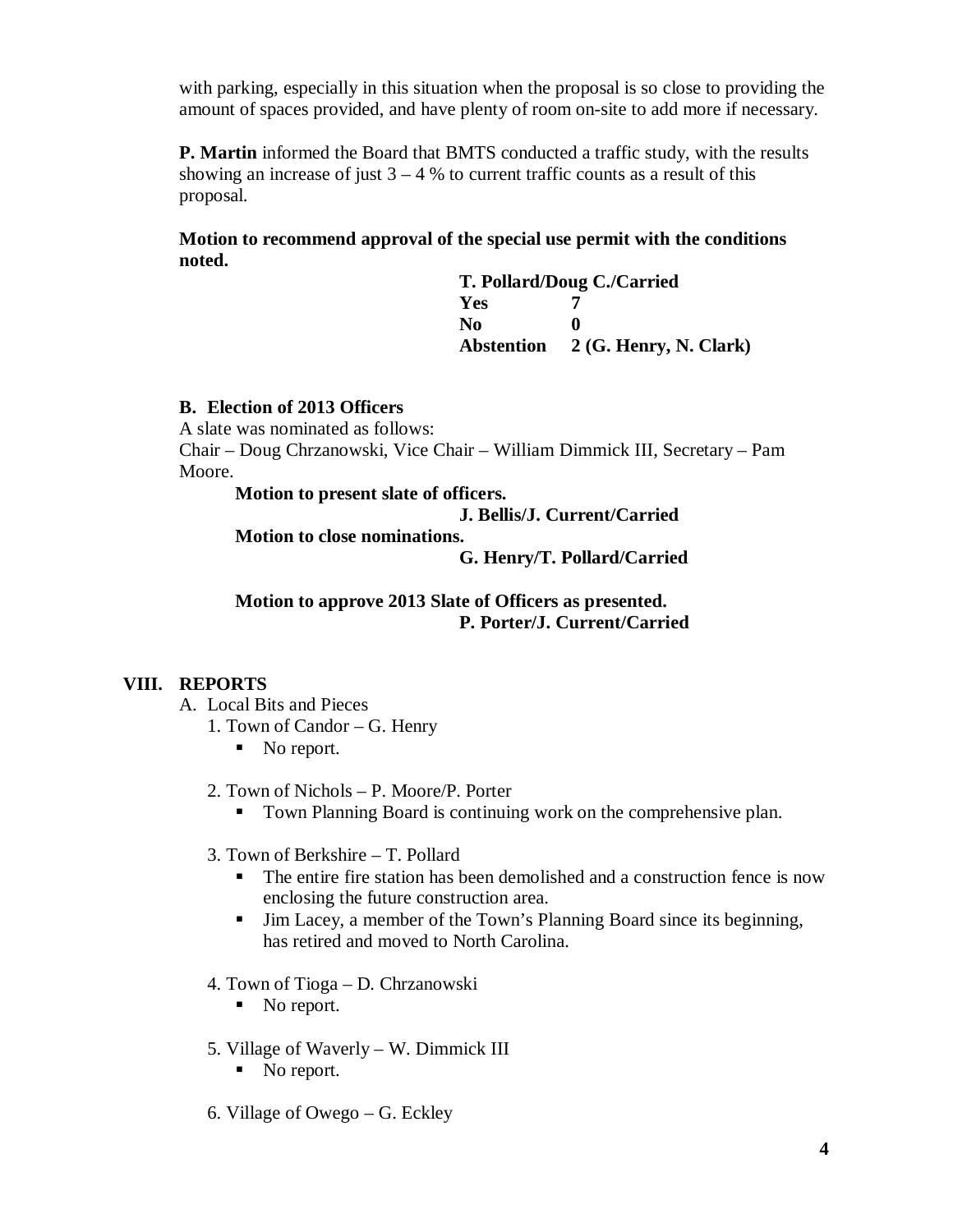with parking, especially in this situation when the proposal is so close to providing the amount of spaces provided, and have plenty of room on-site to add more if necessary.

**P. Martin** informed the Board that BMTS conducted a traffic study, with the results showing an increase of just  $3 - 4$  % to current traffic counts as a result of this proposal.

**Motion to recommend approval of the special use permit with the conditions noted.**

> **T. Pollard/Doug C./Carried Yes 7 No 0 Abstention 2 (G. Henry, N. Clark)**

### **B. Election of 2013 Officers**

A slate was nominated as follows:

Chair – Doug Chrzanowski, Vice Chair – William Dimmick III, Secretary – Pam Moore.

**Motion to present slate of officers.**

**J. Bellis/J. Current/Carried**

**Motion to close nominations.**

**G. Henry/T. Pollard/Carried**

**Motion to approve 2013 Slate of Officers as presented. P. Porter/J. Current/Carried**

## **VIII. REPORTS**

- A. Local Bits and Pieces
	- 1. Town of Candor G. Henry
		- No report.
	- 2. Town of Nichols P. Moore/P. Porter
		- Town Planning Board is continuing work on the comprehensive plan.
	- 3. Town of Berkshire T. Pollard
		- The entire fire station has been demolished and a construction fence is now enclosing the future construction area.
		- Jim Lacey, a member of the Town's Planning Board since its beginning, has retired and moved to North Carolina.
	- 4. Town of Tioga D. Chrzanowski
		- No report.
	- 5. Village of Waverly W. Dimmick III
		- No report.
	- 6. Village of Owego G. Eckley